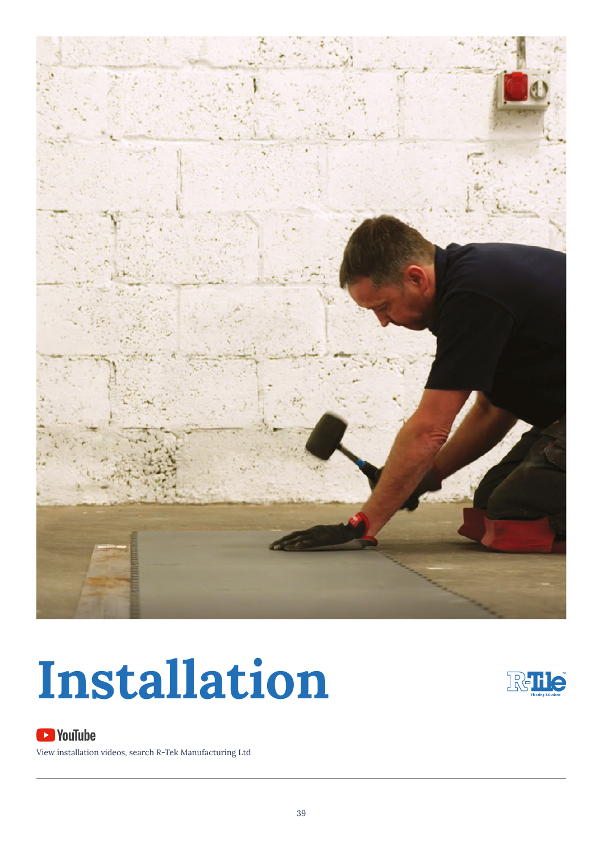



### **S**YouTube

View installation videos, search R-Tek Manufacturing Ltd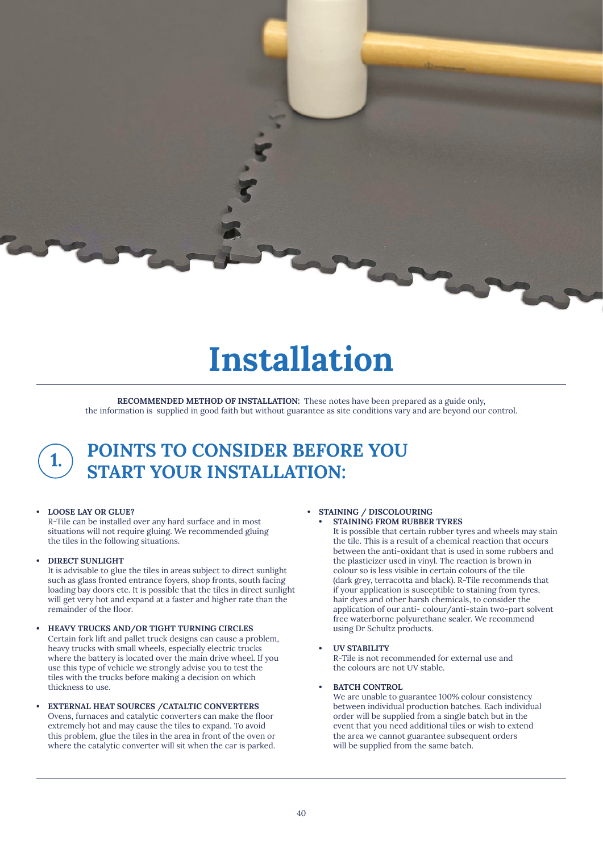

**RECOMMENDED METHOD OF INSTALLATION:** These notes have been prepared as a guide only, the information is supplied in good faith but without guarantee as site conditions vary and are beyond our control.



### **POINTS TO CONSIDER BEFORE YOU START YOUR INSTALLATION: 1.**

#### **• LOOSE LAY OR GLUE?**

R-Tile can be installed over any hard surface and in most situations will not require gluing. We recommended gluing the tiles in the following situations.

#### **• DIRECT SUNLIGHT**

It is advisable to glue the tiles in areas subject to direct sunlight such as glass fronted entrance foyers, shop fronts, south facing loading bay doors etc. It is possible that the tiles in direct sunlight will get very hot and expand at a faster and higher rate than the remainder of the floor.

- **• HEAVY TRUCKS AND/OR TIGHT TURNING CIRCLES**  Certain fork lift and pallet truck designs can cause a problem, heavy trucks with small wheels, especially electric trucks where the battery is located over the main drive wheel. If you use this type of vehicle we strongly advise you to test the tiles with the trucks before making a decision on which thickness to use.
- **• EXTERNAL HEAT SOURCES /CATALTIC CONVERTERS** Ovens, furnaces and catalytic converters can make the floor extremely hot and may cause the tiles to expand. To avoid this problem, glue the tiles in the area in front of the oven or where the catalytic converter will sit when the car is parked.

#### **• STAINING / DISCOLOURING**

**• STAINING FROM RUBBER TYRES** 

It is possible that certain rubber tyres and wheels may stain the tile. This is a result of a chemical reaction that occurs between the anti-oxidant that is used in some rubbers and the plasticizer used in vinyl. The reaction is brown in colour so is less visible in certain colours of the tile (dark grey, terracotta and black). R-Tile recommends that if your application is susceptible to staining from tyres, hair dyes and other harsh chemicals, to consider the application of our anti- colour/anti-stain two-part solvent free waterborne polyurethane sealer. We recommend using Dr Schultz products.

#### **• UV STABILITY**

R-Tile is not recommended for external use and the colours are not UV stable.

**• BATCH CONTROL** 

We are unable to guarantee 100% colour consistency between individual production batches. Each individual order will be supplied from a single batch but in the event that you need additional tiles or wish to extend the area we cannot guarantee subsequent orders will be supplied from the same batch.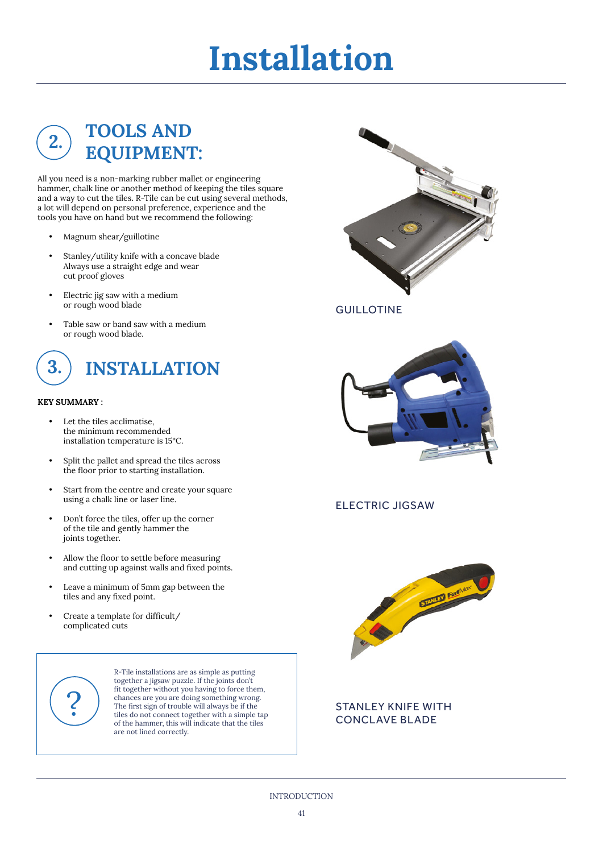### **TOOLS AND EQUIPMENT:**

All you need is a non-marking rubber mallet or engineering hammer, chalk line or another method of keeping the tiles square and a way to cut the tiles. R-Tile can be cut using several methods, a lot will depend on personal preference, experience and the tools you have on hand but we recommend the following:

- Magnum shear/guillotine
- Stanley/utility knife with a concave blade Always use a straight edge and wear cut proof gloves
- Electric jig saw with a medium or rough wood blade
- Table saw or band saw with a medium or rough wood blade.



#### **KEY SUMMARY :**

**2.** 

- Let the tiles acclimatise. the minimum recommended installation temperature is 15°C.
- Split the pallet and spread the tiles across the floor prior to starting installation.
- Start from the centre and create your square using a chalk line or laser line.
- Don't force the tiles, offer up the corner of the tile and gently hammer the joints together.
- Allow the floor to settle before measuring and cutting up against walls and fixed points.
- Leave a minimum of 5mm gap between the tiles and any fixed point.
- Create a template for difficult/ complicated cuts



R-Tile installations are as simple as putting together a jigsaw puzzle. If the joints don't fit together without you having to force them, chances are you are doing something wrong. The first sign of trouble will always be if the tiles do not connect together with a simple tap of the hammer, this will indicate that the tiles are not lined correctly.



**GUILLOTINE** 



ELECTRIC JIGSAW



#### STANLEY KNIFE WITH CONCLAVE BLADE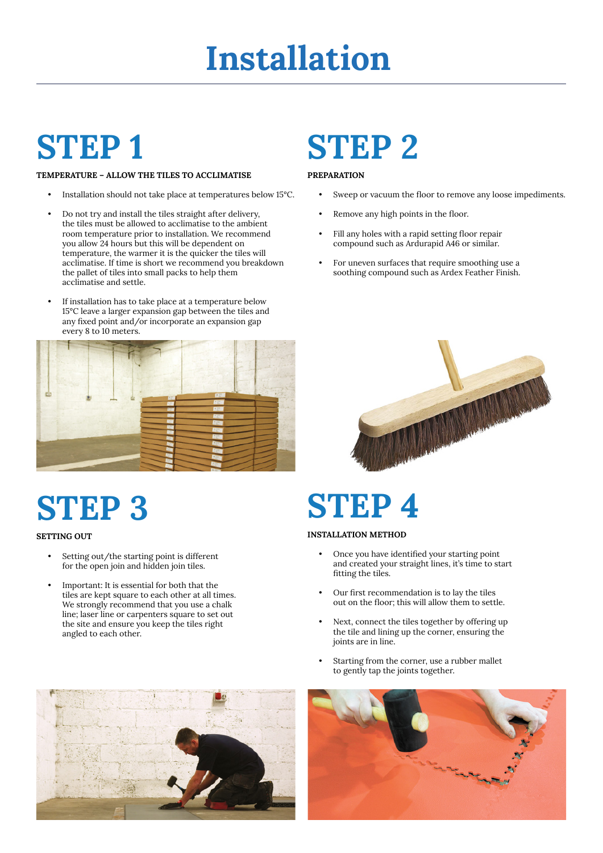### **STEP 1**

#### **TEMPERATURE – ALLOW THE TILES TO ACCLIMATISE**

- Installation should not take place at temperatures below 15°C.
- Do not try and install the tiles straight after delivery, the tiles must be allowed to acclimatise to the ambient room temperature prior to installation. We recommend you allow 24 hours but this will be dependent on temperature, the warmer it is the quicker the tiles will acclimatise. If time is short we recommend you breakdown the pallet of tiles into small packs to help them acclimatise and settle.
- If installation has to take place at a temperature below 15°C leave a larger expansion gap between the tiles and any fixed point and/or incorporate an expansion gap every 8 to 10 meters.



### **STEP 3**

#### **SETTING OUT**

- Setting out/the starting point is different for the open join and hidden join tiles.
- Important: It is essential for both that the tiles are kept square to each other at all times. We strongly recommend that you use a chalk line; laser line or carpenters square to set out the site and ensure you keep the tiles right angled to each other.

### **STEP 2**

#### **PREPARATION**

- Sweep or vacuum the floor to remove any loose impediments.
- Remove any high points in the floor.
- Fill any holes with a rapid setting floor repair compound such as Ardurapid A46 or similar.
- For uneven surfaces that require smoothing use a soothing compound such as Ardex Feather Finish.



### **STEP 4**

#### **INSTALLATION METHOD**

- Once you have identified your starting point and created your straight lines, it's time to start fitting the tiles.
- Our first recommendation is to lay the tiles out on the floor; this will allow them to settle.
- Next, connect the tiles together by offering up the tile and lining up the corner, ensuring the joints are in line.
- Starting from the corner, use a rubber mallet to gently tap the joints together.



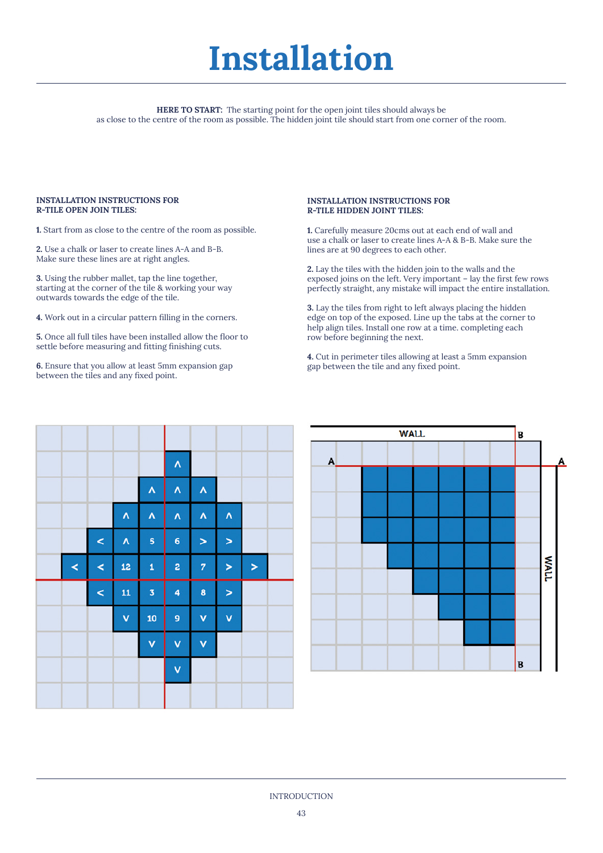**HERE TO START:** The starting point for the open joint tiles should always be as close to the centre of the room as possible. The hidden joint tile should start from one corner of the room.

#### **INSTALLATION INSTRUCTIONS FOR R-TILE OPEN JOIN TILES:**

**1.** Start from as close to the centre of the room as possible.

**2.** Use a chalk or laser to create lines A-A and B-B. Make sure these lines are at right angles.

**3.** Using the rubber mallet, tap the line together, starting at the corner of the tile & working your way outwards towards the edge of the tile.

**4.** Work out in a circular pattern filling in the corners.

**5.** Once all full tiles have been installed allow the floor to settle before measuring and fitting finishing cuts.

**6.** Ensure that you allow at least 5mm expansion gap between the tiles and any fixed point.

#### **INSTALLATION INSTRUCTIONS FOR R-TILE HIDDEN JOINT TILES:**

**1.** Carefully measure 20cms out at each end of wall and use a chalk or laser to create lines A-A & B-B. Make sure the lines are at 90 degrees to each other.

**2.** Lay the tiles with the hidden join to the walls and the exposed joins on the left. Very important – lay the first few rows perfectly straight, any mistake will impact the entire installation.

**3.** Lay the tiles from right to left always placing the hidden edge on top of the exposed. Line up the tabs at the corner to help align tiles. Install one row at a time. completing each row before beginning the next.

**4.** Cut in perimeter tiles allowing at least a 5mm expansion gap between the tile and any fixed point.



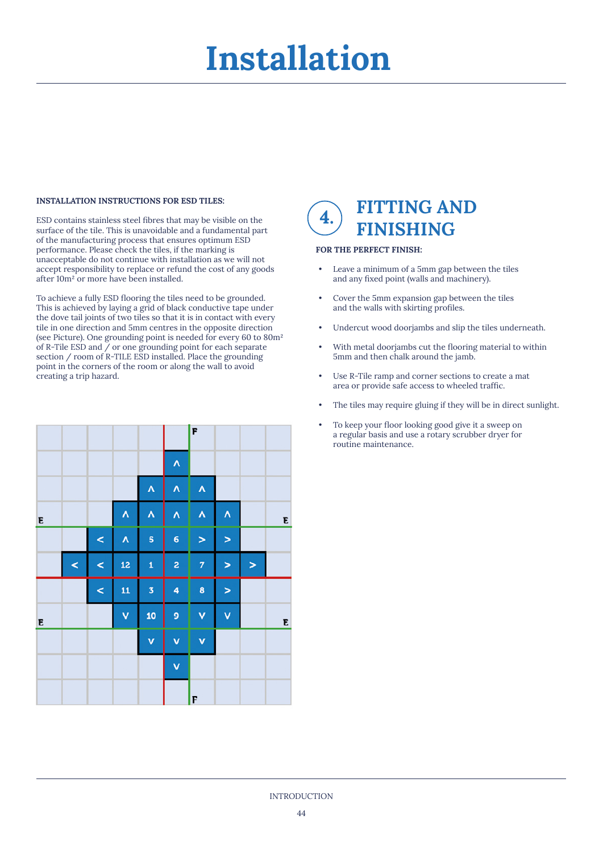#### **INSTALLATION INSTRUCTIONS FOR ESD TILES:**

ESD contains stainless steel fibres that may be visible on the surface of the tile. This is unavoidable and a fundamental part of the manufacturing process that ensures optimum ESD performance. Please check the tiles, if the marking is unacceptable do not continue with installation as we will not accept responsibility to replace or refund the cost of any goods after 10m² or more have been installed.

To achieve a fully ESD flooring the tiles need to be grounded. This is achieved by laying a grid of black conductive tape under the dove tail joints of two tiles so that it is in contact with every tile in one direction and 5mm centres in the opposite direction (see Picture). One grounding point is needed for every 60 to 80m² of R-Tile ESD and / or one grounding point for each separate section / room of R-TILE ESD installed. Place the grounding point in the corners of the room or along the wall to avoid creating a trip hazard.



### **FITTING AND FINISHING 4.**

#### **FOR THE PERFECT FINISH:**

- Leave a minimum of a 5mm gap between the tiles and any fixed point (walls and machinery).
- Cover the 5mm expansion gap between the tiles and the walls with skirting profiles.
- Undercut wood doorjambs and slip the tiles underneath.
- With metal doorjambs cut the flooring material to within 5mm and then chalk around the jamb.
- Use R-Tile ramp and corner sections to create a mat area or provide safe access to wheeled traffic.
- The tiles may require gluing if they will be in direct sunlight.
- To keep your floor looking good give it a sweep on a regular basis and use a rotary scrubber dryer for routine maintenance.